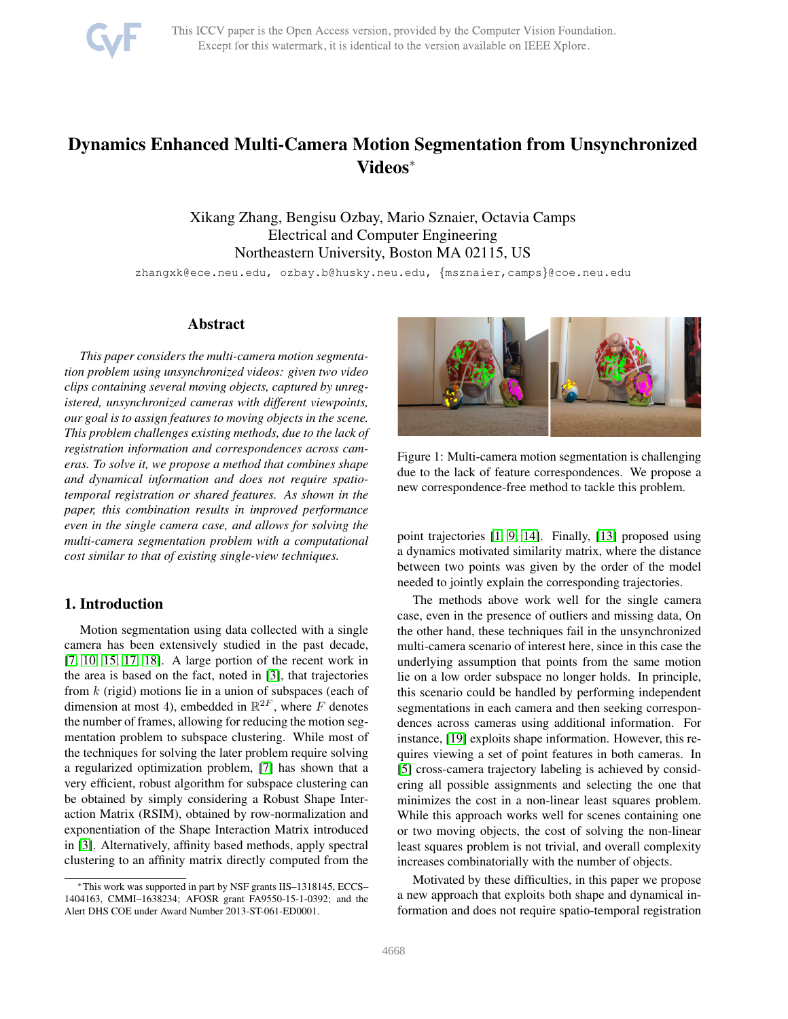

# Dynamics Enhanced Multi-Camera Motion Segmentation from Unsynchronized Videos<sup>∗</sup>

Xikang Zhang, Bengisu Ozbay, Mario Sznaier, Octavia Camps Electrical and Computer Engineering Northeastern University, Boston MA 02115, US

zhangxk@ece.neu.edu, ozbay.b@husky.neu.edu, {msznaier,camps}@coe.neu.edu

#### Abstract

*This paper considers the multi-camera motion segmentation problem using unsynchronized videos: given two video clips containing several moving objects, captured by unregistered, unsynchronized cameras with different viewpoints, our goal is to assign features to moving objects in the scene. This problem challenges existing methods, due to the lack of registration information and correspondences across cameras. To solve it, we propose a method that combines shape and dynamical information and does not require spatiotemporal registration or shared features. As shown in the paper, this combination results in improved performance even in the single camera case, and allows for solving the multi-camera segmentation problem with a computational cost similar to that of existing single-view techniques.*

# 1. Introduction

Motion segmentation using data collected with a single camera has been extensively studied in the past decade, [\[7,](#page-8-0) [10,](#page-8-1) [15,](#page-8-2) [17,](#page-8-3) [18\]](#page-8-4). A large portion of the recent work in the area is based on the fact, noted in [\[3\]](#page-8-5), that trajectories from  $k$  (rigid) motions lie in a union of subspaces (each of dimension at most 4), embedded in  $\mathbb{R}^{2F}$ , where F denotes the number of frames, allowing for reducing the motion segmentation problem to subspace clustering. While most of the techniques for solving the later problem require solving a regularized optimization problem, [\[7\]](#page-8-0) has shown that a very efficient, robust algorithm for subspace clustering can be obtained by simply considering a Robust Shape Interaction Matrix (RSIM), obtained by row-normalization and exponentiation of the Shape Interaction Matrix introduced in [\[3\]](#page-8-5). Alternatively, affinity based methods, apply spectral clustering to an affinity matrix directly computed from the



Figure 1: Multi-camera motion segmentation is challenging due to the lack of feature correspondences. We propose a new correspondence-free method to tackle this problem.

point trajectories [\[1,](#page-7-0) [9,](#page-8-6) [14\]](#page-8-7). Finally, [\[13\]](#page-8-8) proposed using a dynamics motivated similarity matrix, where the distance between two points was given by the order of the model needed to jointly explain the corresponding trajectories.

The methods above work well for the single camera case, even in the presence of outliers and missing data, On the other hand, these techniques fail in the unsynchronized multi-camera scenario of interest here, since in this case the underlying assumption that points from the same motion lie on a low order subspace no longer holds. In principle, this scenario could be handled by performing independent segmentations in each camera and then seeking correspondences across cameras using additional information. For instance, [\[19\]](#page-8-9) exploits shape information. However, this requires viewing a set of point features in both cameras. In [\[5\]](#page-8-10) cross-camera trajectory labeling is achieved by considering all possible assignments and selecting the one that minimizes the cost in a non-linear least squares problem. While this approach works well for scenes containing one or two moving objects, the cost of solving the non-linear least squares problem is not trivial, and overall complexity increases combinatorially with the number of objects.

Motivated by these difficulties, in this paper we propose a new approach that exploits both shape and dynamical information and does not require spatio-temporal registration

<sup>∗</sup>This work was supported in part by NSF grants IIS–1318145, ECCS– 1404163, CMMI–1638234; AFOSR grant FA9550-15-1-0392; and the Alert DHS COE under Award Number 2013-ST-061-ED0001.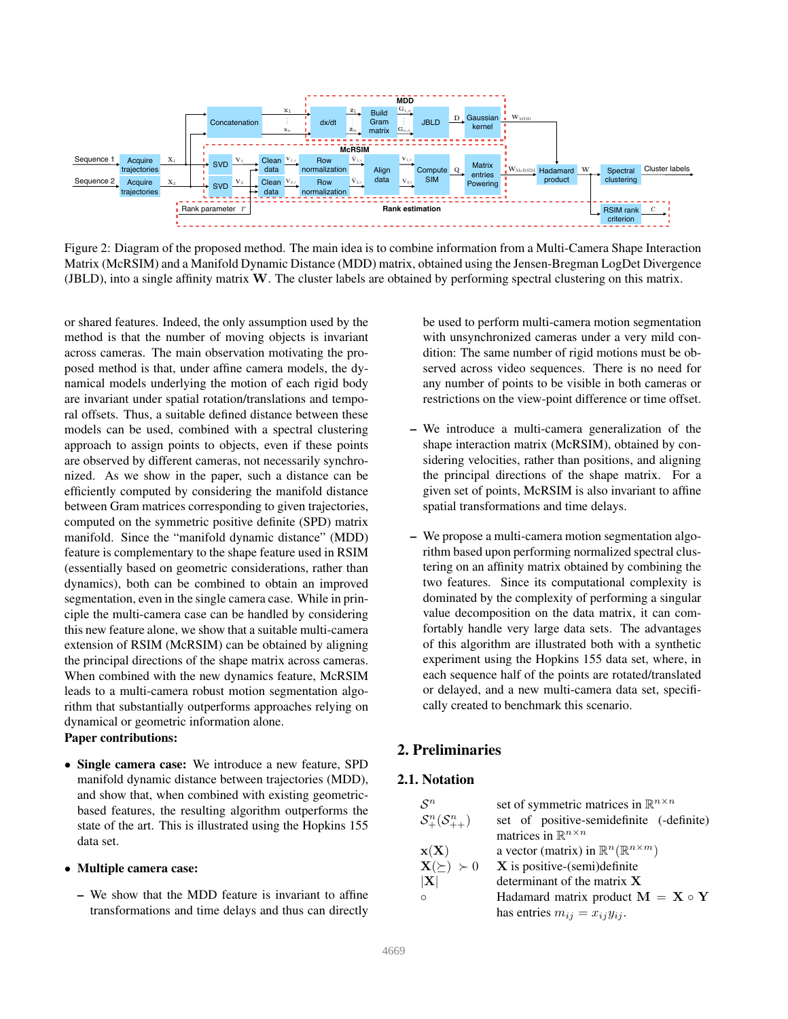

Figure 2: Diagram of the proposed method. The main idea is to combine information from a Multi-Camera Shape Interaction Matrix (McRSIM) and a Manifold Dynamic Distance (MDD) matrix, obtained using the Jensen-Bregman LogDet Divergence (JBLD), into a single affinity matrix W. The cluster labels are obtained by performing spectral clustering on this matrix.

or shared features. Indeed, the only assumption used by the method is that the number of moving objects is invariant across cameras. The main observation motivating the proposed method is that, under affine camera models, the dynamical models underlying the motion of each rigid body are invariant under spatial rotation/translations and temporal offsets. Thus, a suitable defined distance between these models can be used, combined with a spectral clustering approach to assign points to objects, even if these points are observed by different cameras, not necessarily synchronized. As we show in the paper, such a distance can be efficiently computed by considering the manifold distance between Gram matrices corresponding to given trajectories, computed on the symmetric positive definite (SPD) matrix manifold. Since the "manifold dynamic distance" (MDD) feature is complementary to the shape feature used in RSIM (essentially based on geometric considerations, rather than dynamics), both can be combined to obtain an improved segmentation, even in the single camera case. While in principle the multi-camera case can be handled by considering this new feature alone, we show that a suitable multi-camera extension of RSIM (McRSIM) can be obtained by aligning the principal directions of the shape matrix across cameras. When combined with the new dynamics feature, McRSIM leads to a multi-camera robust motion segmentation algorithm that substantially outperforms approaches relying on dynamical or geometric information alone.

## Paper contributions:

- Single camera case: We introduce a new feature, SPD manifold dynamic distance between trajectories (MDD), and show that, when combined with existing geometricbased features, the resulting algorithm outperforms the state of the art. This is illustrated using the Hopkins 155 data set.
- Multiple camera case:
	- We show that the MDD feature is invariant to affine transformations and time delays and thus can directly

be used to perform multi-camera motion segmentation with unsynchronized cameras under a very mild condition: The same number of rigid motions must be observed across video sequences. There is no need for any number of points to be visible in both cameras or restrictions on the view-point difference or time offset.

- We introduce a multi-camera generalization of the shape interaction matrix (McRSIM), obtained by considering velocities, rather than positions, and aligning the principal directions of the shape matrix. For a given set of points, McRSIM is also invariant to affine spatial transformations and time delays.
- We propose a multi-camera motion segmentation algorithm based upon performing normalized spectral clustering on an affinity matrix obtained by combining the two features. Since its computational complexity is dominated by the complexity of performing a singular value decomposition on the data matrix, it can comfortably handle very large data sets. The advantages of this algorithm are illustrated both with a synthetic experiment using the Hopkins 155 data set, where, in each sequence half of the points are rotated/translated or delayed, and a new multi-camera data set, specifically created to benchmark this scenario.

# 2. Preliminaries

#### 2.1. Notation

| $\mathcal{S}^n$                       | set of symmetric matrices in $\mathbb{R}^{n \times n}$       |  |  |  |  |  |  |
|---------------------------------------|--------------------------------------------------------------|--|--|--|--|--|--|
| $\mathcal{S}_+^n(\mathcal{S}_{++}^n)$ | set of positive-semidefinite (-definite)                     |  |  |  |  |  |  |
|                                       | matrices in $\mathbb{R}^{n \times n}$                        |  |  |  |  |  |  |
| $\mathbf{x}(\mathbf{X})$              | a vector (matrix) in $\mathbb{R}^n(\mathbb{R}^{n \times m})$ |  |  |  |  |  |  |
| $\mathbf{X}(\succeq) > 0$             | $X$ is positive-(semi)definite                               |  |  |  |  |  |  |
| $ \mathbf{X} $                        | determinant of the matrix X                                  |  |  |  |  |  |  |
| $\Omega$                              | Hadamard matrix product $M = X \circ Y$                      |  |  |  |  |  |  |
|                                       | has entries $m_{ij} = x_{ij}y_{ij}$ .                        |  |  |  |  |  |  |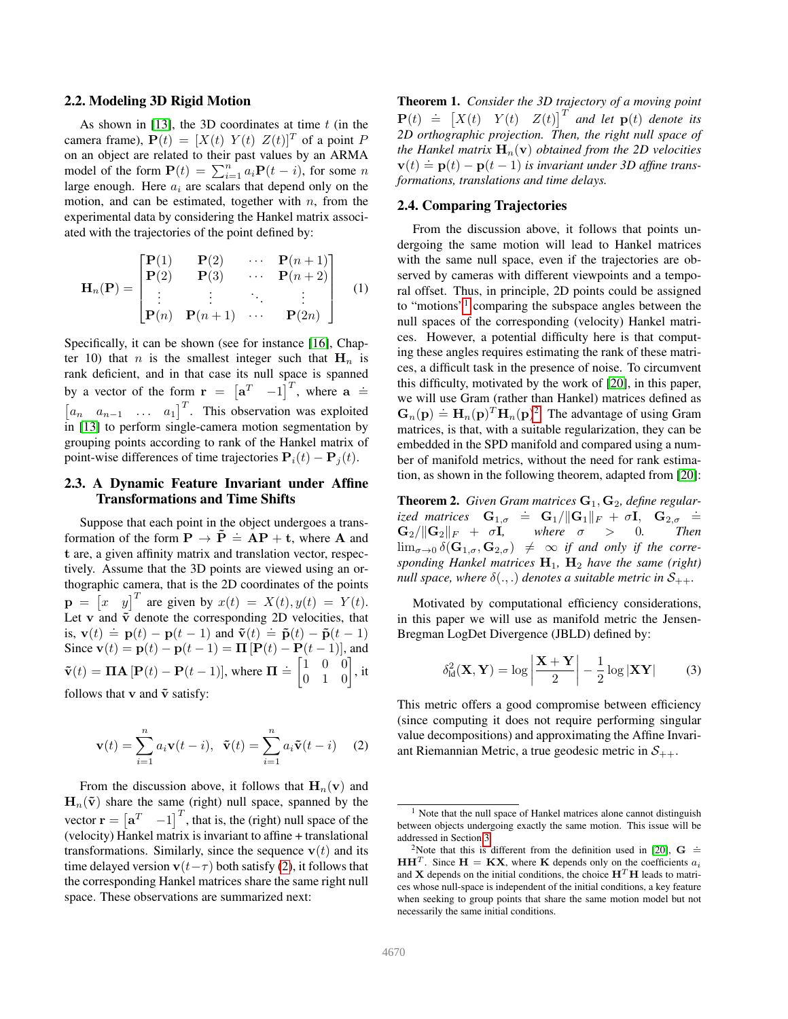#### 2.2. Modeling 3D Rigid Motion

As shown in [\[13\]](#page-8-8), the 3D coordinates at time  $t$  (in the camera frame),  $P(t) = [X(t) Y(t) Z(t)]^T$  of a point P on an object are related to their past values by an ARMA model of the form  $P(t) = \sum_{i=1}^{n} a_i P(t - i)$ , for some n large enough. Here  $a_i$  are scalars that depend only on the motion, and can be estimated, together with  $n$ , from the experimental data by considering the Hankel matrix associated with the trajectories of the point defined by:

$$
\mathbf{H}_n(\mathbf{P}) = \begin{bmatrix} \mathbf{P}(1) & \mathbf{P}(2) & \cdots & \mathbf{P}(n+1) \\ \mathbf{P}(2) & \mathbf{P}(3) & \cdots & \mathbf{P}(n+2) \\ \vdots & \vdots & \ddots & \vdots \\ \mathbf{P}(n) & \mathbf{P}(n+1) & \cdots & \mathbf{P}(2n) \end{bmatrix}
$$
 (1)

Specifically, it can be shown (see for instance [\[16\]](#page-8-11), Chapter 10) that n is the smallest integer such that  $H_n$  is rank deficient, and in that case its null space is spanned by a vector of the form  $\mathbf{r} = \begin{bmatrix} \mathbf{a}^T & -1 \end{bmatrix}^T$ , where  $\mathbf{a} \doteq$  $[a_n \ a_{n-1} \ \ldots \ a_1]^T$ . This observation was exploited in [\[13\]](#page-8-8) to perform single-camera motion segmentation by grouping points according to rank of the Hankel matrix of point-wise differences of time trajectories  $P_i(t) - P_j(t)$ .

# 2.3. A Dynamic Feature Invariant under Affine Transformations and Time Shifts

Suppose that each point in the object undergoes a transformation of the form  $\mathbf{P} \rightarrow \tilde{\mathbf{P}} \doteq \mathbf{AP} + \mathbf{t}$ , where **A** and t are, a given affinity matrix and translation vector, respectively. Assume that the 3D points are viewed using an orthographic camera, that is the 2D coordinates of the points  $\mathbf{p} = \begin{bmatrix} x & y \end{bmatrix}^T$  are given by  $x(t) = X(t), y(t) = Y(t)$ . Let  $v$  and  $\tilde{v}$  denote the corresponding 2D velocities, that is,  $\mathbf{v}(t) = \mathbf{p}(t) - \mathbf{p}(t-1)$  and  $\tilde{\mathbf{v}}(t) = \tilde{\mathbf{p}}(t) - \tilde{\mathbf{p}}(t-1)$ Since  $\mathbf{v}(t) = \mathbf{p}(t) - \mathbf{p}(t-1) = \mathbf{\Pi}[\mathbf{P}(t) - \mathbf{P}(t-1)]$ , and  $\tilde{\mathbf{v}}(t) = \mathbf{\Pi} \mathbf{A} [\mathbf{P}(t) - \mathbf{P}(t-1)],$  where  $\mathbf{\Pi} \doteq \begin{bmatrix} 1 & 0 & 0 \\ 0 & 1 & 0 \\ 0 & 0 & 0 \end{bmatrix}$ , it follows that  $\bf{v}$  and  $\bf{\tilde{v}}$  satisfy:

<span id="page-2-0"></span>
$$
\mathbf{v}(t) = \sum_{i=1}^{n} a_i \mathbf{v}(t-i), \quad \tilde{\mathbf{v}}(t) = \sum_{i=1}^{n} a_i \tilde{\mathbf{v}}(t-i) \quad (2)
$$

From the discussion above, it follows that  $H_n(v)$  and  $H_n(\tilde{v})$  share the same (right) null space, spanned by the vector  $\mathbf{r} = \begin{bmatrix} \mathbf{a}^T & -1 \end{bmatrix}^T$ , that is, the (right) null space of the (velocity) Hankel matrix is invariant to affine + translational transformations. Similarly, since the sequence  $v(t)$  and its time delayed version  $\mathbf{v}(t-\tau)$  both satisfy [\(2\)](#page-2-0), it follows that the corresponding Hankel matrices share the same right null space. These observations are summarized next:

Theorem 1. *Consider the 3D trajectory of a moving point*  $\mathbf{P}(t) = \begin{bmatrix} X(t) & Y(t) & Z(t) \end{bmatrix}^T$  and let  $\mathbf{p}(t)$  denote its *2D orthographic projection. Then, the right null space of the Hankel matrix*  $\mathbf{H}_n(\mathbf{v})$  *obtained from the 2D velocities*  $\mathbf{v}(t) \doteq \mathbf{p}(t) - \mathbf{p}(t-1)$  *is invariant under 3D affine transformations, translations and time delays.*

#### <span id="page-2-3"></span>2.4. Comparing Trajectories

From the discussion above, it follows that points undergoing the same motion will lead to Hankel matrices with the same null space, even if the trajectories are observed by cameras with different viewpoints and a temporal offset. Thus, in principle, 2D points could be assigned to "motions"[1](#page-2-1) comparing the subspace angles between the null spaces of the corresponding (velocity) Hankel matrices. However, a potential difficulty here is that computing these angles requires estimating the rank of these matrices, a difficult task in the presence of noise. To circumvent this difficulty, motivated by the work of [\[20\]](#page-8-12), in this paper, we will use Gram (rather than Hankel) matrices defined as  $G_n(p) \doteq H_n(p)^T H_n(p)^2$  $G_n(p) \doteq H_n(p)^T H_n(p)^2$ . The advantage of using Gram matrices, is that, with a suitable regularization, they can be embedded in the SPD manifold and compared using a number of manifold metrics, without the need for rank estimation, as shown in the following theorem, adapted from [\[20\]](#page-8-12):

<span id="page-2-4"></span>Theorem 2. Given Gram matrices  $G_1, G_2$ , define regular*ized matrices*  $G_{1,\sigma} \doteq G_1/\|G_1\|_F + \sigma I$ ,  $G_{2,\sigma} \doteq$  $\mathbf{G}_2/\|\mathbf{G}_2\|_F + \sigma \mathbf{I}$ , where  $\sigma > 0$ . Then  $\lim_{\sigma\to 0} \delta(\mathbf{G}_{1,\sigma}, \mathbf{G}_{2,\sigma}) \neq \infty$  *if and only if the corresponding Hankel matrices* H1*,* H<sup>2</sup> *have the same (right) null space, where*  $\delta(.,.)$  *denotes a suitable metric in*  $S_{++}$ *.* 

Motivated by computational efficiency considerations, in this paper we will use as manifold metric the Jensen-Bregman LogDet Divergence (JBLD) defined by:

$$
\delta_{\rm ld}^2(\mathbf{X}, \mathbf{Y}) = \log \left| \frac{\mathbf{X} + \mathbf{Y}}{2} \right| - \frac{1}{2} \log |\mathbf{X} \mathbf{Y}| \tag{3}
$$

This metric offers a good compromise between efficiency (since computing it does not require performing singular value decompositions) and approximating the Affine Invariant Riemannian Metric, a true geodesic metric in  $S_{++}$ .

<span id="page-2-1"></span> $1$  Note that the null space of Hankel matrices alone cannot distinguish between objects undergoing exactly the same motion. This issue will be addressed in Section [3.](#page-3-0)

<span id="page-2-2"></span>Prote that this is different from the definition used in [\[20\]](#page-8-12),  $\mathbf{G}$  =  $HH<sup>T</sup>$ . Since  $H = KX$ , where K depends only on the coefficients  $a_i$ and **X** depends on the initial conditions, the choice  $\mathbf{H}^T \mathbf{H}$  leads to matrices whose null-space is independent of the initial conditions, a key feature when seeking to group points that share the same motion model but not necessarily the same initial conditions.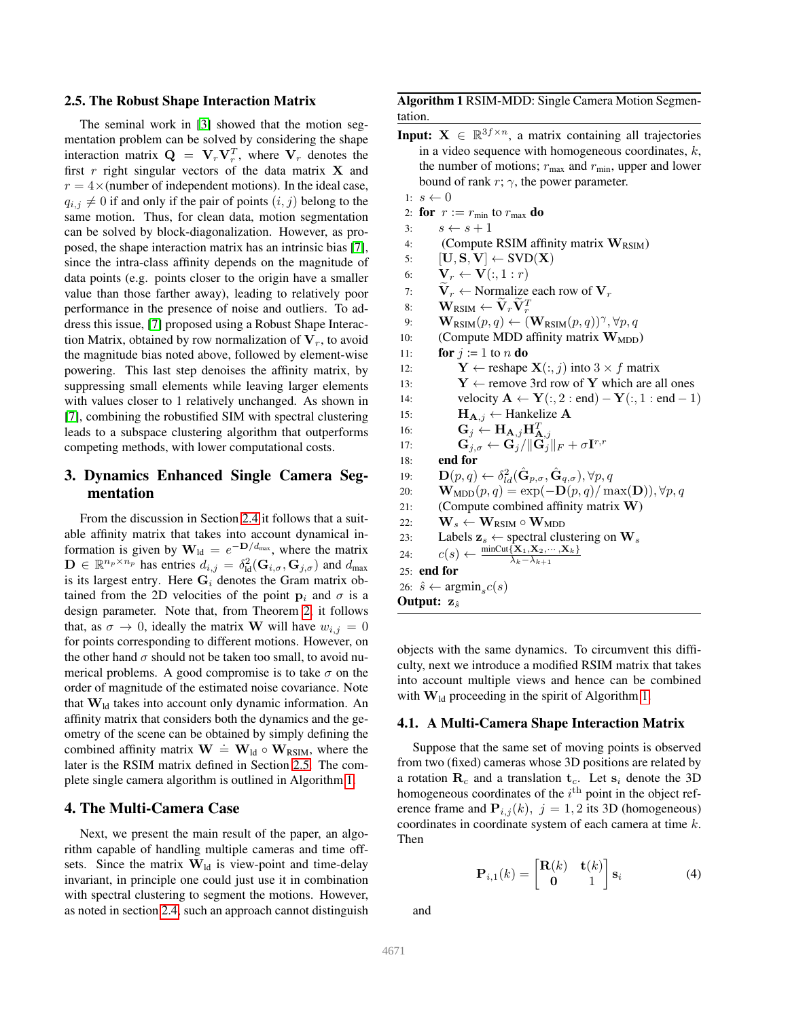#### <span id="page-3-1"></span>2.5. The Robust Shape Interaction Matrix

The seminal work in [\[3\]](#page-8-5) showed that the motion segmentation problem can be solved by considering the shape interaction matrix  $\mathbf{Q} = \mathbf{V}_r \mathbf{V}_r^T$ , where  $\mathbf{V}_r$  denotes the first  $r$  right singular vectors of the data matrix  $X$  and  $r = 4 \times$ (number of independent motions). In the ideal case,  $q_{i,j} \neq 0$  if and only if the pair of points  $(i, j)$  belong to the same motion. Thus, for clean data, motion segmentation can be solved by block-diagonalization. However, as proposed, the shape interaction matrix has an intrinsic bias [\[7\]](#page-8-0), since the intra-class affinity depends on the magnitude of data points (e.g. points closer to the origin have a smaller value than those farther away), leading to relatively poor performance in the presence of noise and outliers. To address this issue, [\[7\]](#page-8-0) proposed using a Robust Shape Interaction Matrix, obtained by row normalization of  $V_r$ , to avoid the magnitude bias noted above, followed by element-wise powering. This last step denoises the affinity matrix, by suppressing small elements while leaving larger elements with values closer to 1 relatively unchanged. As shown in [\[7\]](#page-8-0), combining the robustified SIM with spectral clustering leads to a subspace clustering algorithm that outperforms competing methods, with lower computational costs.

# <span id="page-3-0"></span>3. Dynamics Enhanced Single Camera Segmentation

From the discussion in Section [2.4](#page-2-3) it follows that a suitable affinity matrix that takes into account dynamical information is given by  $W_{\text{ld}} = e^{-D/d_{\text{max}}}$ , where the matrix  $\mathbf{D} \in \mathbb{R}^{n_p \times n_p}$  has entries  $d_{i,j} = \delta_{\text{ld}}^2(\mathbf{G}_{i,\sigma}, \mathbf{G}_{j,\sigma})$  and  $d_{\text{max}}$ is its largest entry. Here  $G_i$  denotes the Gram matrix obtained from the 2D velocities of the point  $p_i$  and  $\sigma$  is a design parameter. Note that, from Theorem [2,](#page-2-4) it follows that, as  $\sigma \to 0$ , ideally the matrix **W** will have  $w_{i,j} = 0$ for points corresponding to different motions. However, on the other hand  $\sigma$  should not be taken too small, to avoid numerical problems. A good compromise is to take  $\sigma$  on the order of magnitude of the estimated noise covariance. Note that  $W_{\text{ld}}$  takes into account only dynamic information. An affinity matrix that considers both the dynamics and the geometry of the scene can be obtained by simply defining the combined affinity matrix  $\mathbf{W} \doteq \mathbf{W}_{\text{ld}} \circ \mathbf{W}_{\text{RSIM}}$ , where the later is the RSIM matrix defined in Section [2.5.](#page-3-1) The complete single camera algorithm is outlined in Algorithm [1.](#page-3-2)

### 4. The Multi-Camera Case

Next, we present the main result of the paper, an algorithm capable of handling multiple cameras and time offsets. Since the matrix  $W_{\text{ld}}$  is view-point and time-delay invariant, in principle one could just use it in combination with spectral clustering to segment the motions. However, as noted in section [2.4,](#page-2-3) such an approach cannot distinguish

<span id="page-3-2"></span>Algorithm 1 RSIM-MDD: Single Camera Motion Segmentation.

- **Input:**  $X \in \mathbb{R}^{3f \times n}$ , a matrix containing all trajectories in a video sequence with homogeneous coordinates,  $k$ , the number of motions;  $r_{\text{max}}$  and  $r_{\text{min}}$ , upper and lower bound of rank  $r$ ;  $\gamma$ , the power parameter.
	- 1:  $s \leftarrow 0$
	- 2: for  $r := r_{\min}$  to  $r_{\max}$  do
- 3:  $s \leftarrow s + 1$
- 4: (Compute RSIM affinity matrix  $W_{RSIM}$ )
- 5:  $[U, S, V] \leftarrow SVD(X)$
- 6:  $\mathbf{V}_r \leftarrow \mathbf{V}(:,1:r)$
- 7:  $\widetilde{\mathbf{V}}_r \leftarrow \text{Normalize each row of } \mathbf{V}_r$ <br>8:  $\mathbf{W}_{\text{RSIM}} \leftarrow \widetilde{\mathbf{V}}_r \widetilde{\mathbf{V}}_r^T$
- 8:  $\mathbf{W}_{\text{RSIM}} \leftarrow \widetilde{\mathbf{V}}_{r} \widetilde{\mathbf{V}}_{r}^{T}$
- 9:  $\mathbf{W}_{\text{RSIM}}(p,q) \leftarrow (\mathbf{W}_{\text{RSIM}}(p,q))^{\gamma}, \forall p, q$
- 10: (Compute MDD affinity matrix  $W_{MDD}$ )
- 11: **for**  $j := 1$  to n **do**
- 12:  $\mathbf{Y} \leftarrow \text{reshape } \mathbf{X}(:,j) \text{ into } 3 \times f \text{ matrix}$
- 13:  $Y \leftarrow$  remove 3rd row of Y which are all ones
- 14: velocity  $\mathbf{A} \leftarrow \mathbf{Y}(:, 2 : \text{end}) \mathbf{Y}(:, 1 : \text{end} 1)$
- 15: **H** $A_{,j} \leftarrow$  Hankelize **A**
- 16:  $\mathbf{G}_j \leftarrow \mathbf{H}_{\mathbf{A},j} \mathbf{H}_{\mathbf{A},j}^T$  $\mathbf{r}$

$$
17: \qquad \qquad \mathbf{G}_{j,\sigma} \leftarrow \mathbf{G}_{j}/\|\mathbf{G}_{j}^{-}\|_{F} + \sigma \mathbf{I}^{r},
$$

18: end for

- 19:  $\mathbf{D}(p,q) \leftarrow \delta_{ld}^2(\hat{\mathbf{G}}_{p,\sigma}, \hat{\mathbf{G}}_{q,\sigma}), \forall p, q$ 20:  $\mathbf{W}_{\text{MDD}}(p,q) = \exp(-\mathbf{D}(p,q)/\max(\mathbf{D}))$ ,  $\forall p,q$ 21: (Compute combined affinity matrix W) 22:  $\mathbf{W}_s \leftarrow \mathbf{W}_{\text{RSIM}} \circ \mathbf{W}_{\text{MDD}}$
- 
- 23: Labels  $\mathbf{z}_s \leftarrow \text{spectral clustering on } \mathbf{W}_s$
- 24:  $c(s) \leftarrow \frac{\text{minCut}\{\mathbf{X}_1, \mathbf{X}_2, \cdots, \mathbf{X}_k\}}{\lambda_k \lambda_{k+1}}$

25: end for

- 26:  $\hat{s} \leftarrow \operatorname{argmin}_{s} c(s)$
- Output:  $z_{\hat{s}}$

objects with the same dynamics. To circumvent this difficulty, next we introduce a modified RSIM matrix that takes into account multiple views and hence can be combined with  $\mathbf{W}_{\text{ld}}$  proceeding in the spirit of Algorithm [1.](#page-3-2)

#### 4.1. A Multi-Camera Shape Interaction Matrix

Suppose that the same set of moving points is observed from two (fixed) cameras whose 3D positions are related by a rotation  $\mathbf{R}_c$  and a translation  $\mathbf{t}_c$ . Let  $\mathbf{s}_i$  denote the 3D homogeneous coordinates of the  $i<sup>th</sup>$  point in the object reference frame and  $P_{i,j}(k)$ ,  $j = 1, 2$  its 3D (homogeneous) coordinates in coordinate system of each camera at time k. Then

$$
\mathbf{P}_{i,1}(k) = \begin{bmatrix} \mathbf{R}(k) & \mathbf{t}(k) \\ \mathbf{0} & 1 \end{bmatrix} \mathbf{s}_i
$$
 (4)

and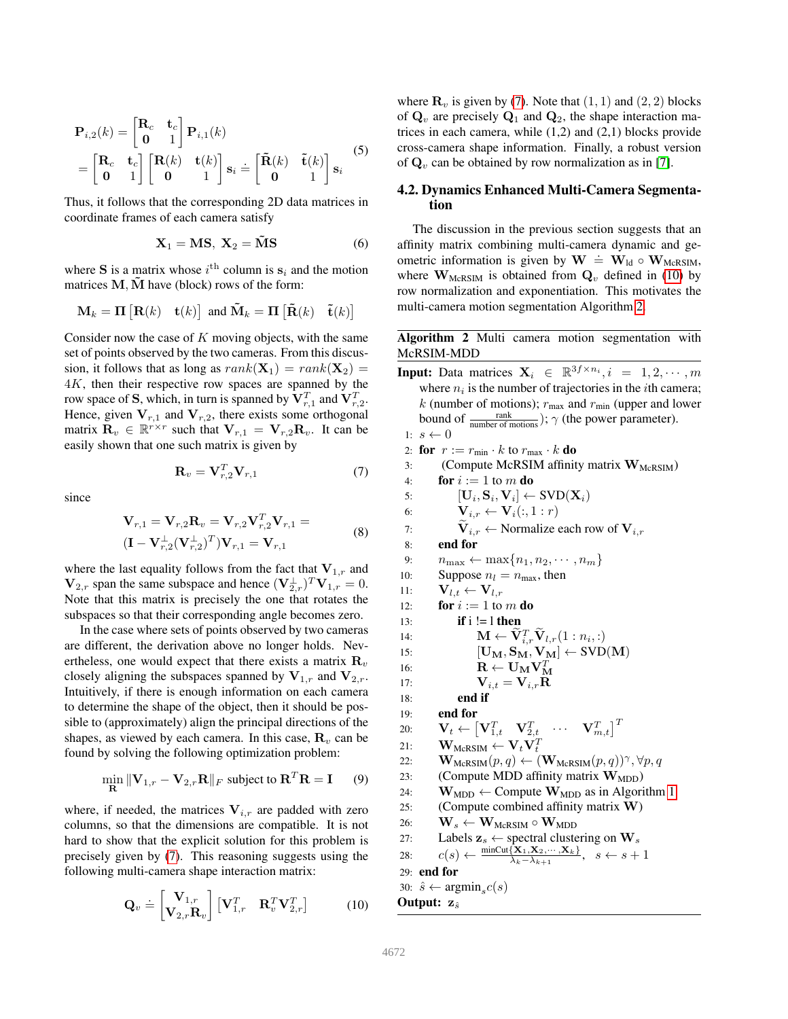$$
\mathbf{P}_{i,2}(k) = \begin{bmatrix} \mathbf{R}_c & \mathbf{t}_c \\ \mathbf{0} & 1 \end{bmatrix} \mathbf{P}_{i,1}(k)
$$

$$
= \begin{bmatrix} \mathbf{R}_c & \mathbf{t}_c \\ \mathbf{0} & 1 \end{bmatrix} \begin{bmatrix} \mathbf{R}(k) & \mathbf{t}(k) \\ \mathbf{0} & 1 \end{bmatrix} \mathbf{s}_i = \begin{bmatrix} \tilde{\mathbf{R}}(k) & \tilde{\mathbf{t}}(k) \\ \mathbf{0} & 1 \end{bmatrix} \mathbf{s}_i
$$
(5)

Thus, it follows that the corresponding 2D data matrices in coordinate frames of each camera satisfy

$$
\mathbf{X}_1 = \mathbf{M}\mathbf{S}, \ \mathbf{X}_2 = \tilde{\mathbf{M}}\mathbf{S} \tag{6}
$$

where S is a matrix whose  $i^{\text{th}}$  column is  $s_i$  and the motion matrices  $M$ ,  $M$  have (block) rows of the form:

$$
\mathbf{M}_k = \mathbf{\Pi} [\mathbf{R}(k) \quad \mathbf{t}(k)] \text{ and } \tilde{\mathbf{M}}_k = \mathbf{\Pi} [\tilde{\mathbf{R}}(k) \quad \tilde{\mathbf{t}}(k)]
$$

Consider now the case of  $K$  moving objects, with the same set of points observed by the two cameras. From this discussion, it follows that as long as  $rank(\mathbf{X}_1) = rank(\mathbf{X}_2) =$ 4K, then their respective row spaces are spanned by the row space of S, which, in turn is spanned by  $V_{r,1}^T$  and  $V_{r,2}^T$ . Hence, given  $V_{r,1}$  and  $V_{r,2}$ , there exists some orthogonal matrix  $\mathbf{R}_v \in \mathbb{R}^{r \times r}$  such that  $\mathbf{V}_{r,1} = \mathbf{V}_{r,2} \mathbf{R}_v$ . It can be easily shown that one such matrix is given by

<span id="page-4-0"></span>
$$
\mathbf{R}_v = \mathbf{V}_{r,2}^T \mathbf{V}_{r,1} \tag{7}
$$

since

$$
\mathbf{V}_{r,1} = \mathbf{V}_{r,2} \mathbf{R}_v = \mathbf{V}_{r,2} \mathbf{V}_{r,2}^T \mathbf{V}_{r,1} =
$$
  
(**I** –  $\mathbf{V}_{r,2}^{\perp} (\mathbf{V}_{r,2}^{\perp})^T) \mathbf{V}_{r,1} = \mathbf{V}_{r,1}$  (8)

where the last equality follows from the fact that  $V_{1,r}$  and  $\mathbf{V}_{2,r}$  span the same subspace and hence  $(\mathbf{V}_{2,r}^{\perp})^T \mathbf{V}_{1,r} = 0$ . Note that this matrix is precisely the one that rotates the subspaces so that their corresponding angle becomes zero.

In the case where sets of points observed by two cameras are different, the derivation above no longer holds. Nevertheless, one would expect that there exists a matrix  $\mathbf{R}_v$ closely aligning the subspaces spanned by  $V_{1,r}$  and  $V_{2,r}$ . Intuitively, if there is enough information on each camera to determine the shape of the object, then it should be possible to (approximately) align the principal directions of the shapes, as viewed by each camera. In this case,  $\mathbf{R}_v$  can be found by solving the following optimization problem:

$$
\min_{\mathbf{R}} \|\mathbf{V}_{1,r} - \mathbf{V}_{2,r}\mathbf{R}\|_F \text{ subject to } \mathbf{R}^T \mathbf{R} = \mathbf{I} \qquad (9)
$$

where, if needed, the matrices  $V_{i,r}$  are padded with zero columns, so that the dimensions are compatible. It is not hard to show that the explicit solution for this problem is precisely given by [\(7\)](#page-4-0). This reasoning suggests using the following multi-camera shape interaction matrix:

<span id="page-4-1"></span>
$$
\mathbf{Q}_v \doteq \begin{bmatrix} \mathbf{V}_{1,r} \\ \mathbf{V}_{2,r} \mathbf{R}_v \end{bmatrix} \begin{bmatrix} \mathbf{V}_{1,r}^T & \mathbf{R}_v^T \mathbf{V}_{2,r}^T \end{bmatrix} \tag{10}
$$

where  $\mathbf{R}_v$  is given by [\(7\)](#page-4-0). Note that  $(1, 1)$  and  $(2, 2)$  blocks of  $\mathbf{Q}_v$  are precisely  $\mathbf{Q}_1$  and  $\mathbf{Q}_2$ , the shape interaction matrices in each camera, while  $(1,2)$  and  $(2,1)$  blocks provide cross-camera shape information. Finally, a robust version of  $\mathbf{Q}_v$  can be obtained by row normalization as in [\[7\]](#page-8-0).

#### 4.2. Dynamics Enhanced Multi-Camera Segmentation

The discussion in the previous section suggests that an affinity matrix combining multi-camera dynamic and geometric information is given by  $\mathbf{W} \doteq \mathbf{W}_{\text{Id}} \circ \mathbf{W}_{\text{McRSIM}}$ , where  $\mathbf{W}_{\text{McRSIM}}$  is obtained from  $\mathbf{Q}_v$  defined in [\(10\)](#page-4-1) by row normalization and exponentiation. This motivates the multi-camera motion segmentation Algorithm [2.](#page-4-2)

# <span id="page-4-2"></span>Algorithm 2 Multi camera motion segmentation with McRSIM-MDD

```
Input: Data matrices \mathbf{X}_i \in \mathbb{R}^{3f \times n_i}, i = 1, 2, \cdots, mwhere n_i is the number of trajectories in the ith camera;
       k (number of motions); r_{\text{max}} and r_{\text{min}} (upper and lower
       bound of \frac{\text{rank}}{\text{number of motions}}); \gamma (the power parameter).
  1: s \leftarrow 02: for r := r_{\min} \cdot k to r_{\max} \cdot k do
  3: (Compute McRSIM affinity matrix W_{MCRSIM})
  4: for i := 1 to m do
  5: [\mathbf{U}_i, \mathbf{S}_i, \mathbf{V}_i] \leftarrow \text{SVD}(\mathbf{X}_i)6: \mathbf{V}_{i,r} \leftarrow \mathbf{V}_i(:,1:r)7: \widetilde{\mathbf{V}}_{i,r} \leftarrow \text{Normalize each row of } \mathbf{V}_{i,r}<br>8: end for
            end for
  9: n_{\text{max}} \leftarrow \max\{n_1, n_2, \cdots, n_m\}10: Suppose n_l = n_{\text{max}}, then
11: \mathbf{V}_{l,t} \leftarrow \mathbf{V}_{l,r}12: for i := 1 to m do
13: if i := 1 then
 14: \mathbf{M} \leftarrow \widetilde{\mathbf{V}}_{i,r}^T \widetilde{\mathbf{V}}_{l,r}(1:n_i,:)15: [\mathbf{U}_{\mathbf{M}}, \mathbf{S}_{\mathbf{M}}, \mathbf{V}_{\mathbf{M}}] \leftarrow \text{SVD}(\mathbf{M})16: R ← \mathbf{U}_{\mathbf{M}} \mathbf{V}_{\mathbf{M}}^T17: \mathbf{V}_{i,t} = \mathbf{V}_{i,r} \mathbf{R}18: end if
19: end for
 20: \mathbf{V}_t \leftarrow \begin{bmatrix} \mathbf{V}_{1,t}^T & \mathbf{V}_{2,t}^T & \cdots & \mathbf{V}_{m,t}^T \end{bmatrix}^T21: \mathbf{W}_{\text{McRSIM}} \leftarrow \mathbf{V}_t \mathbf{V}_t^T22: \mathbf{W}_{\text{McRSIM}}(p,q) \leftarrow (\mathbf{W}_{\text{McRSIM}}(p,q))^{\gamma}, \forall p, q23: (Compute MDD affinity matrix W_{\text{MDD}})
 1
25: (Compute combined affinity matrix W)
26: \mathbf{W}_s \leftarrow \mathbf{W}_{\text{McRSIM}} \circ \mathbf{W}_{\text{MDD}}27: Labels z_s \leftarrow spectral clustering on W_s28: c(s) \leftarrow \frac{\text{minCut}\{\mathbf{\hat{X}}_1, \mathbf{X}_2, \cdots, \mathbf{X}_k\}}{\lambda_k - \lambda_{k+1}}, \quad s \leftarrow s+129: end for
 30: \hat{s} \leftarrow \operatorname{argmin}_{s} c(s)Output: z_{\hat{s}}
```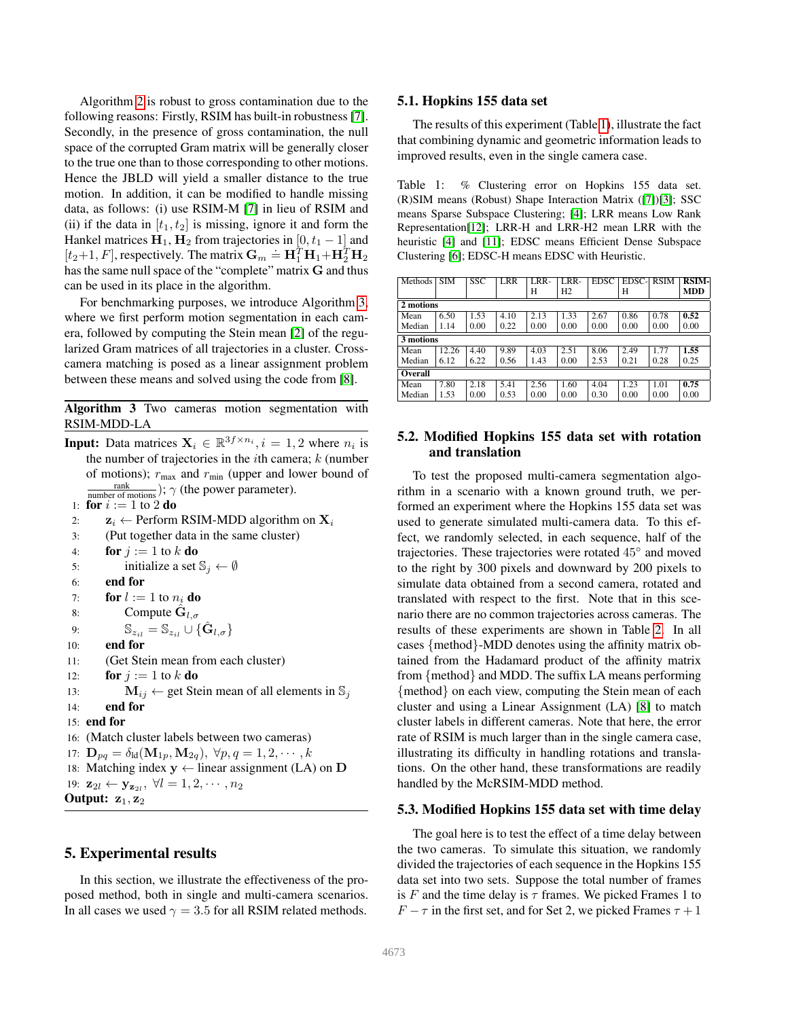Algorithm [2](#page-4-2) is robust to gross contamination due to the following reasons: Firstly, RSIM has built-in robustness [\[7\]](#page-8-0). Secondly, in the presence of gross contamination, the null space of the corrupted Gram matrix will be generally closer to the true one than to those corresponding to other motions. Hence the JBLD will yield a smaller distance to the true motion. In addition, it can be modified to handle missing data, as follows: (i) use RSIM-M [\[7\]](#page-8-0) in lieu of RSIM and (ii) if the data in  $[t_1, t_2]$  is missing, ignore it and form the Hankel matrices  $H_1$ ,  $H_2$  from trajectories in [0,  $t_1 - 1$ ] and Framer matrices  $H_1$ ,  $H_2$  non-adjectories in [0, 01  $-1$ ] and  $[t_2+1, F]$ , respectively. The matrix  $G_m = H_1^T H_1 + H_2^T H_2$ has the same null space of the "complete" matrix G and thus can be used in its place in the algorithm.

For benchmarking purposes, we introduce Algorithm [3,](#page-5-0) where we first perform motion segmentation in each camera, followed by computing the Stein mean [\[2\]](#page-7-1) of the regularized Gram matrices of all trajectories in a cluster. Crosscamera matching is posed as a linear assignment problem between these means and solved using the code from [\[8\]](#page-8-13).

<span id="page-5-0"></span>Algorithm 3 Two cameras motion segmentation with RSIM-MDD-LA

**Input:** Data matrices  $\mathbf{X}_i \in \mathbb{R}^{3f \times n_i}, i = 1, 2$  where  $n_i$  is the number of trajectories in the *i*th camera;  $k$  (number of motions);  $r_{\text{max}}$  and  $r_{\text{min}}$  (upper and lower bound of  $\frac{\text{rank}}{\text{number of motions}}$ ;  $\gamma$  (the power parameter). 1: for  $i := 1$  to 2 do

2:  $\mathbf{z}_i \leftarrow$  Perform RSIM-MDD algorithm on  $\mathbf{X}_i$ 

- 3: (Put together data in the same cluster)
- 4: **for**  $j := 1$  to  $k$  **do**
- 5: initialize a set  $\mathbb{S}_i \leftarrow \emptyset$
- 6: end for
- 7: **for**  $l := 1$  to  $n_i$  **do**
- 8: Compute  $\hat{\mathbf{G}}_{l,\sigma}$

```
9: \mathbb{S}_{z_{il}} = \mathbb{S}_{z_{il}} \cup {\hat{\mathbf{G}}_{l,\sigma}}
```
- 10: end for
- 11: (Get Stein mean from each cluster)
- 12: **for**  $j := 1$  to k **do**
- 13:  $\mathbf{M}_{ij} \leftarrow \text{get Stein mean of all elements in } \mathbb{S}_j$
- 14: end for
- 15: end for
- 16: (Match cluster labels between two cameras) 17:  ${\bf D}_{pq} = \delta_{\rm ld}({\bf M}_{1p}, {\bf M}_{2q}), \ \forall p, q = 1, 2, \cdots, k$
- 18: Matching index  $y \leftarrow$  linear assignment (LA) on D
- 19:  $\mathbf{z}_{2l} \leftarrow \mathbf{y}_{\mathbf{z}_{2l}}, \ \forall l = 1, 2, \cdots, n_2$
- Output:  $z_1, z_2$

# 5. Experimental results

In this section, we illustrate the effectiveness of the proposed method, both in single and multi-camera scenarios. In all cases we used  $\gamma = 3.5$  for all RSIM related methods.

#### 5.1. Hopkins 155 data set

The results of this experiment (Table [1\)](#page-5-1), illustrate the fact that combining dynamic and geometric information leads to improved results, even in the single camera case.

<span id="page-5-1"></span>Table 1: % Clustering error on Hopkins 155 data set. (R)SIM means (Robust) Shape Interaction Matrix ([\[7\]](#page-8-0))[\[3\]](#page-8-5); SSC means Sparse Subspace Clustering; [\[4\]](#page-8-14); LRR means Low Rank Representation[\[12\]](#page-8-15); LRR-H and LRR-H2 mean LRR with the heuristic [\[4\]](#page-8-14) and [\[11\]](#page-8-16); EDSC means Efficient Dense Subspace Clustering [\[6\]](#page-8-17); EDSC-H means EDSC with Heuristic.

| Methods   | <b>SIM</b> | <b>SSC</b> | <b>LRR</b> | LRR- | LRR-           | <b>EDSC</b> | <b>EDSC- RSIM</b> |      | <b>RSIM-</b> |
|-----------|------------|------------|------------|------|----------------|-------------|-------------------|------|--------------|
|           |            |            |            | Н    | H <sub>2</sub> |             | Н                 |      | MDD          |
|           | 2 motions  |            |            |      |                |             |                   |      |              |
| Mean      | 6.50       | 1.53       | 4.10       | 2.13 | 1.33           | 2.67        | 0.86              | 0.78 | 0.52         |
| Median    | 1.14       | 0.00       | 0.22       | 0.00 | 0.00           | 0.00        | 0.00              | 0.00 | 0.00         |
| 3 motions |            |            |            |      |                |             |                   |      |              |
| Mean      | 12.26      | 4.40       | 9.89       | 4.03 | 2.51           | 8.06        | 2.49              | 1.77 | 1.55         |
| Median    | 6.12       | 6.22       | 0.56       | 1.43 | 0.00           | 2.53        | 0.21              | 0.28 | 0.25         |
| Overall   |            |            |            |      |                |             |                   |      |              |
| Mean      | 7.80       | 2.18       | 5.41       | 2.56 | 1.60           | 4.04        | 1.23              | 1.01 | 0.75         |
| Median    | 1.53       | 0.00       | 0.53       | 0.00 | 0.00           | 0.30        | 0.00              | 0.00 | 0.00         |

## 5.2. Modified Hopkins 155 data set with rotation and translation

To test the proposed multi-camera segmentation algorithm in a scenario with a known ground truth, we performed an experiment where the Hopkins 155 data set was used to generate simulated multi-camera data. To this effect, we randomly selected, in each sequence, half of the trajectories. These trajectories were rotated 45° and moved to the right by 300 pixels and downward by 200 pixels to simulate data obtained from a second camera, rotated and translated with respect to the first. Note that in this scenario there are no common trajectories across cameras. The results of these experiments are shown in Table [2.](#page-6-0) In all cases {method}-MDD denotes using the affinity matrix obtained from the Hadamard product of the affinity matrix from {method} and MDD. The suffix LA means performing {method} on each view, computing the Stein mean of each cluster and using a Linear Assignment (LA) [\[8\]](#page-8-13) to match cluster labels in different cameras. Note that here, the error rate of RSIM is much larger than in the single camera case, illustrating its difficulty in handling rotations and translations. On the other hand, these transformations are readily handled by the McRSIM-MDD method.

### 5.3. Modified Hopkins 155 data set with time delay

The goal here is to test the effect of a time delay between the two cameras. To simulate this situation, we randomly divided the trajectories of each sequence in the Hopkins 155 data set into two sets. Suppose the total number of frames is F and the time delay is  $\tau$  frames. We picked Frames 1 to  $F - \tau$  in the first set, and for Set 2, we picked Frames  $\tau + 1$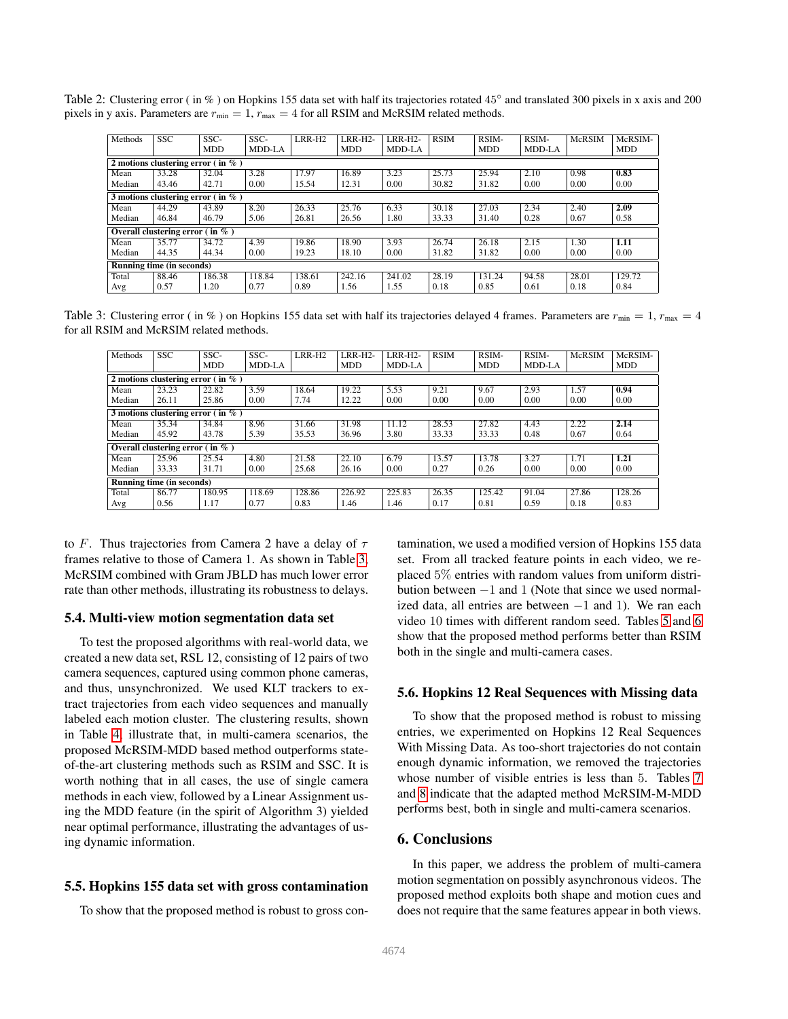<span id="page-6-0"></span>Table 2: Clustering error (in %) on Hopkins 155 data set with half its trajectories rotated 45° and translated 300 pixels in x axis and 200 pixels in y axis. Parameters are  $r_{\text{min}} = 1$ ,  $r_{\text{max}} = 4$  for all RSIM and McRSIM related methods.

| Methods                   | <b>SSC</b>                            | SSC-       | SSC-   | $LRR-H2$ | $LRR-H2-$  | $LRR-H2-$ | <b>RSIM</b> | RSIM-      | RSIM-  | <b>McRSIM</b> | McRSIM-    |
|---------------------------|---------------------------------------|------------|--------|----------|------------|-----------|-------------|------------|--------|---------------|------------|
|                           |                                       | <b>MDD</b> | MDD-LA |          | <b>MDD</b> | MDD-LA    |             | <b>MDD</b> | MDD-LA |               | <b>MDD</b> |
|                           | 2 motions clustering error (in $\%$ ) |            |        |          |            |           |             |            |        |               |            |
| Mean                      | 33.28                                 | 32.04      | 3.28   | 17.97    | 16.89      | 3.23      | 25.73       | 25.94      | 2.10   | 0.98          | 0.83       |
| Median                    | 43.46                                 | 42.71      | 0.00   | 15.54    | 12.31      | 0.00      | 30.82       | 31.82      | 0.00   | 0.00          | 0.00       |
|                           | 3 motions clustering error (in $\%$ ) |            |        |          |            |           |             |            |        |               |            |
| Mean                      | 44.29                                 | 43.89      | 8.20   | 26.33    | 25.76      | 6.33      | 30.18       | 27.03      | 2.34   | 2.40          | 2.09       |
| Median                    | 46.84                                 | 46.79      | 5.06   | 26.81    | 26.56      | 1.80      | 33.33       | 31.40      | 0.28   | 0.67          | 0.58       |
|                           | Overall clustering error (in $\%$ )   |            |        |          |            |           |             |            |        |               |            |
| Mean                      | 35.77                                 | 34.72      | 4.39   | 19.86    | 18.90      | 3.93      | 26.74       | 26.18      | 2.15   | 1.30          | 1.11       |
| Median                    | 44.35                                 | 44.34      | 0.00   | 19.23    | 18.10      | 0.00      | 31.82       | 31.82      | 0.00   | 0.00          | 0.00       |
| Running time (in seconds) |                                       |            |        |          |            |           |             |            |        |               |            |
| Total                     | 88.46                                 | 186.38     | 118.84 | 138.61   | 242.16     | 241.02    | 28.19       | 131.24     | 94.58  | 28.01         | 129.72     |
| Avg                       | 0.57                                  | 1.20       | 0.77   | 0.89     | 1.56       | 1.55      | 0.18        | 0.85       | 0.61   | 0.18          | 0.84       |

<span id="page-6-1"></span>Table 3: Clustering error (in %) on Hopkins 155 data set with half its trajectories delayed 4 frames. Parameters are  $r_{min} = 1$ ,  $r_{max} = 4$ for all RSIM and McRSIM related methods.

| Methods                   | <b>SSC</b>                            | SSC-       | SSC-   | $LRR-H2$ | $LRR-H2-$  | $LRR-H2-$ | <b>RSIM</b> | RSIM-      | RSIM-  | <b>McRSIM</b> | McRSIM-    |
|---------------------------|---------------------------------------|------------|--------|----------|------------|-----------|-------------|------------|--------|---------------|------------|
|                           |                                       | <b>MDD</b> | MDD-LA |          | <b>MDD</b> | MDD-LA    |             | <b>MDD</b> | MDD-LA |               | <b>MDD</b> |
|                           | 2 motions clustering error (in $\%$ ) |            |        |          |            |           |             |            |        |               |            |
| Mean                      | 23.23                                 | 22.82      | 3.59   | 18.64    | 19.22      | 5.53      | 9.21        | 9.67       | 2.93   | 1.57          | 0.94       |
| Median                    | 26.11                                 | 25.86      | 0.00   | 7.74     | 12.22      | 0.00      | 0.00        | 0.00       | 0.00   | 0.00          | 0.00       |
|                           | 3 motions clustering error (in $\%$ ) |            |        |          |            |           |             |            |        |               |            |
| Mean                      | 35.34                                 | 34.84      | 8.96   | 31.66    | 31.98      | 11.12     | 28.53       | 27.82      | 4.43   | 2.22          | 2.14       |
| Median                    | 45.92                                 | 43.78      | 5.39   | 35.53    | 36.96      | 3.80      | 33.33       | 33.33      | 0.48   | 0.67          | 0.64       |
|                           | Overall clustering error (in $\%$ )   |            |        |          |            |           |             |            |        |               |            |
| Mean                      | 25.96                                 | 25.54      | 4.80   | 21.58    | 22.10      | 6.79      | 13.57       | 13.78      | 3.27   | 1.71          | 1.21       |
| Median                    | 33.33                                 | 31.71      | 0.00   | 25.68    | 26.16      | 0.00      | 0.27        | 0.26       | 0.00   | 0.00          | 0.00       |
| Running time (in seconds) |                                       |            |        |          |            |           |             |            |        |               |            |
| Total                     | 86.77                                 | 180.95     | 118.69 | 128.86   | 226.92     | 225.83    | 26.35       | 125.42     | 91.04  | 27.86         | 128.26     |
| Avg                       | 0.56                                  | 1.17       | 0.77   | 0.83     | 1.46       | 1.46      | 0.17        | 0.81       | 0.59   | 0.18          | 0.83       |
|                           |                                       |            |        |          |            |           |             |            |        |               |            |

to F. Thus trajectories from Camera 2 have a delay of  $\tau$ frames relative to those of Camera 1. As shown in Table [3,](#page-6-1) McRSIM combined with Gram JBLD has much lower error rate than other methods, illustrating its robustness to delays.

#### 5.4. Multi-view motion segmentation data set

To test the proposed algorithms with real-world data, we created a new data set, RSL 12, consisting of 12 pairs of two camera sequences, captured using common phone cameras, and thus, unsynchronized. We used KLT trackers to extract trajectories from each video sequences and manually labeled each motion cluster. The clustering results, shown in Table [4,](#page-7-2) illustrate that, in multi-camera scenarios, the proposed McRSIM-MDD based method outperforms stateof-the-art clustering methods such as RSIM and SSC. It is worth nothing that in all cases, the use of single camera methods in each view, followed by a Linear Assignment using the MDD feature (in the spirit of Algorithm 3) yielded near optimal performance, illustrating the advantages of using dynamic information.

#### 5.5. Hopkins 155 data set with gross contamination

To show that the proposed method is robust to gross con-

tamination, we used a modified version of Hopkins 155 data set. From all tracked feature points in each video, we replaced 5% entries with random values from uniform distribution between −1 and 1 (Note that since we used normalized data, all entries are between  $-1$  and 1). We ran each video 10 times with different random seed. Tables [5](#page-7-3) and [6](#page-7-4) show that the proposed method performs better than RSIM both in the single and multi-camera cases.

#### 5.6. Hopkins 12 Real Sequences with Missing data

To show that the proposed method is robust to missing entries, we experimented on Hopkins 12 Real Sequences With Missing Data. As too-short trajectories do not contain enough dynamic information, we removed the trajectories whose number of visible entries is less than 5. Tables [7](#page-7-5) and [8](#page-7-6) indicate that the adapted method McRSIM-M-MDD performs best, both in single and multi-camera scenarios.

#### 6. Conclusions

In this paper, we address the problem of multi-camera motion segmentation on possibly asynchronous videos. The proposed method exploits both shape and motion cues and does not require that the same features appear in both views.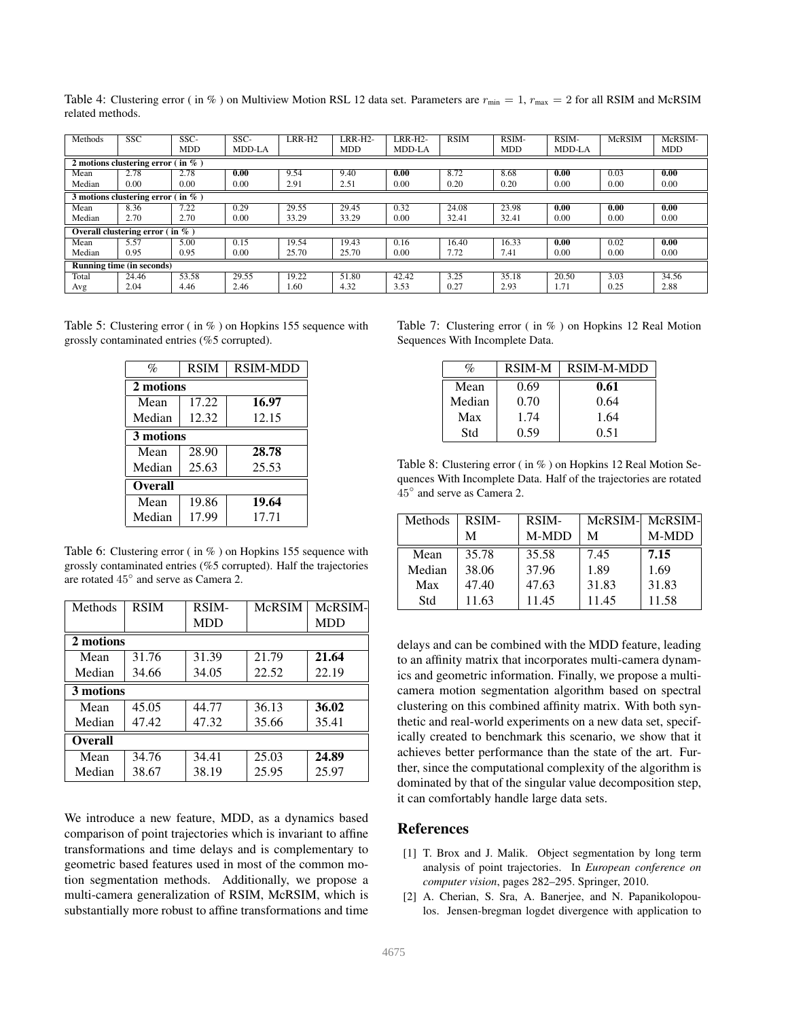| Methods                   | <b>SSC</b>                            | SSC-<br><b>MDD</b> | SSC-<br>MDD-LA | LRR-H <sub>2</sub> | $LRR-H2-$<br><b>MDD</b> | LRR-H2-<br>MDD-LA | <b>RSIM</b> | RSIM-<br><b>MDD</b> | RSIM-<br>MDD-LA | <b>McRSIM</b> | McRSIM-<br><b>MDD</b> |
|---------------------------|---------------------------------------|--------------------|----------------|--------------------|-------------------------|-------------------|-------------|---------------------|-----------------|---------------|-----------------------|
|                           |                                       |                    |                |                    |                         |                   |             |                     |                 |               |                       |
|                           | 2 motions clustering error (in $\%$ ) |                    |                |                    |                         |                   |             |                     |                 |               |                       |
| Mean                      | 2.78                                  | 2.78               | 0.00           | 9.54               | 9.40                    | 0.00              | 8.72        | 8.68                | 0.00            | 0.03          | 0.00                  |
| Median                    | 0.00                                  | 0.00               | 0.00           | 2.91               | 2.51                    | 0.00              | 0.20        | 0.20                | 0.00            | 0.00          | 0.00                  |
|                           | 3 motions clustering error (in $\%$ ) |                    |                |                    |                         |                   |             |                     |                 |               |                       |
| Mean                      | 8.36                                  | 7.22               | 0.29           | 29.55              | 29.45                   | 0.32              | 24.08       | 23.98               | 0.00            | 0.00          | 0.00                  |
| Median                    | 2.70                                  | 2.70               | 0.00           | 33.29              | 33.29                   | 0.00              | 32.41       | 32.41               | 0.00            | 0.00          | 0.00                  |
|                           | Overall clustering error (in $\%$ )   |                    |                |                    |                         |                   |             |                     |                 |               |                       |
| Mean                      | 5.57                                  | 5.00               | 0.15           | 19.54              | 19.43                   | 0.16              | 16.40       | 16.33               | 0.00            | 0.02          | 0.00                  |
| Median                    | 0.95                                  | 0.95               | 0.00           | 25.70              | 25.70                   | 0.00              | 7.72        | 7.41                | 0.00            | 0.00          | 0.00                  |
| Running time (in seconds) |                                       |                    |                |                    |                         |                   |             |                     |                 |               |                       |
| Total                     | 24.46                                 | 53.58              | 29.55          | 19.22              | 51.80                   | 42.42             | 3.25        | 35.18               | 20.50           | 3.03          | 34.56                 |
| Avg                       | 2.04                                  | 4.46               | 2.46           | 1.60               | 4.32                    | 3.53              | 0.27        | 2.93                | 1.71            | 0.25          | 2.88                  |

<span id="page-7-2"></span>Table 4: Clustering error ( in %) on Multiview Motion RSL 12 data set. Parameters are  $r_{\text{min}} = 1$ ,  $r_{\text{max}} = 2$  for all RSIM and McRSIM related methods.

<span id="page-7-3"></span>Table 5: Clustering error ( in % ) on Hopkins 155 sequence with grossly contaminated entries (%5 corrupted).

| $\%$           | <b>RSIM</b> | <b>RSIM-MDD</b> |  |  |  |  |  |  |
|----------------|-------------|-----------------|--|--|--|--|--|--|
| 2 motions      |             |                 |  |  |  |  |  |  |
| Mean           | 17.22       | 16.97           |  |  |  |  |  |  |
| Median         | 12.32       | 12.15           |  |  |  |  |  |  |
|                | 3 motions   |                 |  |  |  |  |  |  |
| Mean           | 28.90       | 28.78           |  |  |  |  |  |  |
| Median         | 25.63       | 25.53           |  |  |  |  |  |  |
| <b>Overall</b> |             |                 |  |  |  |  |  |  |
| Mean           | 19.86       | 19.64           |  |  |  |  |  |  |
| Median         | 17.99       | 17.71           |  |  |  |  |  |  |

<span id="page-7-4"></span>Table 6: Clustering error ( in % ) on Hopkins 155 sequence with grossly contaminated entries (%5 corrupted). Half the trajectories are rotated 45◦ and serve as Camera 2.

| Methods        | <b>RSIM</b> | RSIM-      | <b>McRSIM</b> | McRSIM-    |  |  |  |  |  |
|----------------|-------------|------------|---------------|------------|--|--|--|--|--|
|                |             | <b>MDD</b> |               | <b>MDD</b> |  |  |  |  |  |
| 2 motions      |             |            |               |            |  |  |  |  |  |
| Mean           | 31.76       | 31.39      | 21.79         | 21.64      |  |  |  |  |  |
| Median         | 34.66       | 34.05      | 22.52         | 22.19      |  |  |  |  |  |
| 3 motions      |             |            |               |            |  |  |  |  |  |
| Mean           | 45.05       | 44.77      | 36.13         | 36.02      |  |  |  |  |  |
| Median         | 47.42       | 47.32      | 35.66         | 35.41      |  |  |  |  |  |
| <b>Overall</b> |             |            |               |            |  |  |  |  |  |
| Mean           | 34.76       | 34.41      | 25.03         | 24.89      |  |  |  |  |  |
| Median         | 38.67       | 38.19      | 25.95         | 25.97      |  |  |  |  |  |

We introduce a new feature, MDD, as a dynamics based comparison of point trajectories which is invariant to affine transformations and time delays and is complementary to geometric based features used in most of the common motion segmentation methods. Additionally, we propose a multi-camera generalization of RSIM, McRSIM, which is substantially more robust to affine transformations and time <span id="page-7-5"></span>Table 7: Clustering error ( in % ) on Hopkins 12 Real Motion Sequences With Incomplete Data.

| $\mathcal{O}_0$ | <b>RSIM-M</b> | RSIM-M-MDD |
|-----------------|---------------|------------|
| Mean            | 0.69          | 0.61       |
| Median          | 0.70          | 0.64       |
| Max             | 1.74          | 1.64       |
| Std             | 0.59          | 0.51       |

<span id="page-7-6"></span>Table 8: Clustering error ( in % ) on Hopkins 12 Real Motion Sequences With Incomplete Data. Half of the trajectories are rotated 45◦ and serve as Camera 2.

| Methods | RSIM- | RSIM- |       | McRSIM- McRSIM- |
|---------|-------|-------|-------|-----------------|
|         | М     | M-MDD | М     | M-MDD           |
| Mean    | 35.78 | 35.58 | 7.45  | 7.15            |
| Median  | 38.06 | 37.96 | 1.89  | 1.69            |
| Max     | 47.40 | 47.63 | 31.83 | 31.83           |
| Std     | 11.63 | 11.45 | 11.45 | 11.58           |

delays and can be combined with the MDD feature, leading to an affinity matrix that incorporates multi-camera dynamics and geometric information. Finally, we propose a multicamera motion segmentation algorithm based on spectral clustering on this combined affinity matrix. With both synthetic and real-world experiments on a new data set, specifically created to benchmark this scenario, we show that it achieves better performance than the state of the art. Further, since the computational complexity of the algorithm is dominated by that of the singular value decomposition step, it can comfortably handle large data sets.

### References

- <span id="page-7-0"></span>[1] T. Brox and J. Malik. Object segmentation by long term analysis of point trajectories. In *European conference on computer vision*, pages 282–295. Springer, 2010.
- <span id="page-7-1"></span>[2] A. Cherian, S. Sra, A. Banerjee, and N. Papanikolopoulos. Jensen-bregman logdet divergence with application to